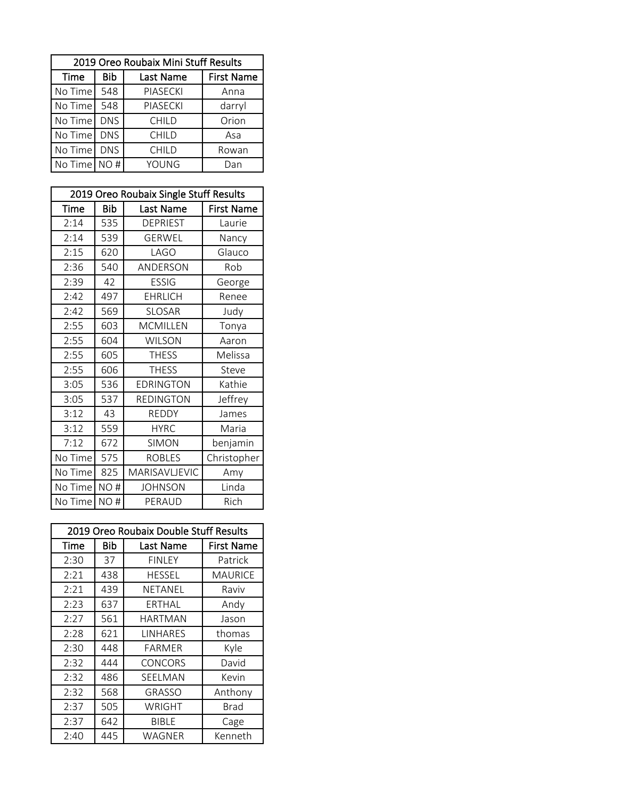|              |            | 2019 Oreo Roubaix Mini Stuff Results |                   |
|--------------|------------|--------------------------------------|-------------------|
| Time         | Bib        | Last Name                            | <b>First Name</b> |
| No Time 548  |            | PIASECKI                             | Anna              |
| No Time      | 548        | PIASECKI                             | darryl            |
| No Time      | <b>DNS</b> | <b>CHILD</b>                         | Orion             |
| No Time      | <b>DNS</b> | <b>CHILD</b>                         | Asa               |
| No Time      | <b>DNS</b> | <b>CHILD</b>                         | Rowan             |
| No Time NO # |            | YOUNG                                | Dan               |

|             |     | 2019 Oreo Roubaix Single Stuff Results |                   |  |
|-------------|-----|----------------------------------------|-------------------|--|
| <b>Time</b> | Bib | Last Name                              | <b>First Name</b> |  |
| 2:14        | 535 | <b>DEPRIEST</b>                        | Laurie            |  |
| 2:14        | 539 | <b>GERWEL</b>                          | Nancy             |  |
| 2:15        | 620 | LAGO                                   | Glauco            |  |
| 2:36        | 540 | ANDERSON                               | Rob               |  |
| 2:39        | 42  | <b>ESSIG</b>                           | George            |  |
| 2:42        | 497 | <b>EHRLICH</b>                         | Renee             |  |
| 2:42        | 569 | <b>SLOSAR</b>                          | Judy              |  |
| 2:55        | 603 | <b>MCMILLEN</b>                        | Tonya             |  |
| 2:55        | 604 | <b>WILSON</b>                          | Aaron             |  |
| 2:55        | 605 | <b>THESS</b>                           | Melissa           |  |
| 2:55        | 606 | <b>THESS</b>                           | Steve             |  |
| 3:05        | 536 | <b>EDRINGTON</b>                       | Kathie            |  |
| 3:05        | 537 | <b>REDINGTON</b>                       | Jeffrey           |  |
| 3:12        | 43  | <b>REDDY</b>                           | James             |  |
| 3:12        | 559 | <b>HYRC</b>                            | Maria             |  |
| 7:12        | 672 | <b>SIMON</b>                           | benjamin          |  |
| No Time     | 575 | <b>ROBLES</b>                          | Christopher       |  |
| No Time     | 825 | MARISAVLJEVIC                          | Amy               |  |
| No Time     | NO# | <b>JOHNSON</b>                         | Linda             |  |
| No Time     | NO# | PERAUD                                 | Rich              |  |

|      | 2019 Oreo Roubaix Double Stuff Results |                |                   |  |
|------|----------------------------------------|----------------|-------------------|--|
| Time | Bib                                    | Last Name      | <b>First Name</b> |  |
| 2:30 | 37                                     | <b>FINLEY</b>  | Patrick           |  |
| 2:21 | 438                                    | <b>HESSEL</b>  | MAURICE           |  |
| 2:21 | 439                                    | NETANEL        | Raviv             |  |
| 2:23 | 637                                    | ERTHAL         | Andy              |  |
| 2:27 | 561                                    | HARTMAN        | Jason             |  |
| 2:28 | 621                                    | LINHARES       | thomas            |  |
| 2:30 | 448                                    | FARMER         | Kyle              |  |
| 2:32 | 444                                    | <b>CONCORS</b> | David             |  |
| 2:32 | 486                                    | SEELMAN        | Kevin             |  |
| 2:32 | 568                                    | <b>GRASSO</b>  | Anthony           |  |
| 2:37 | 505                                    | WRIGHT         | Brad              |  |
| 2:37 | 642                                    | BIBLE          | Cage              |  |
| 2:40 | 445                                    | WAGNER         | Kenneth           |  |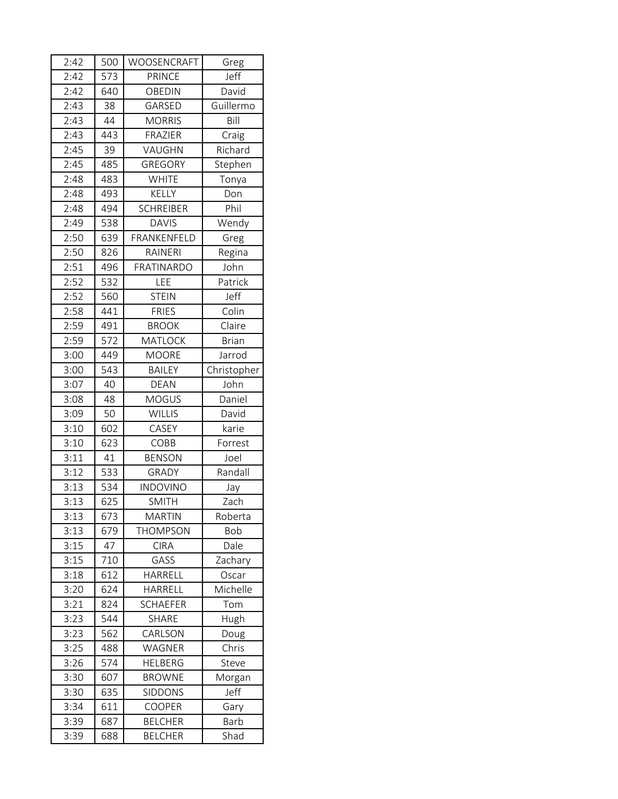| 2:42 | 500 | WOOSENCRAFT       | Greg         |
|------|-----|-------------------|--------------|
| 2:42 | 573 | <b>PRINCE</b>     | Jeff         |
| 2:42 | 640 | <b>OBEDIN</b>     | David        |
| 2:43 | 38  | GARSED            | Guillermo    |
| 2:43 | 44  | <b>MORRIS</b>     | Bill         |
| 2:43 | 443 | FRAZIER           | Craig        |
| 2:45 | 39  | VAUGHN            | Richard      |
| 2:45 | 485 | GREGORY           | Stephen      |
| 2:48 | 483 | <b>WHITE</b>      | Tonya        |
| 2:48 | 493 | <b>KELLY</b>      | Don          |
| 2:48 | 494 | <b>SCHREIBER</b>  | Phil         |
| 2:49 | 538 | <b>DAVIS</b>      | Wendy        |
| 2:50 | 639 | FRANKENFELD       | Greg         |
| 2:50 | 826 | RAINERI           | Regina       |
| 2:51 | 496 | <b>FRATINARDO</b> | John         |
| 2:52 | 532 | LEE               | Patrick      |
| 2:52 | 560 | <b>STEIN</b>      | Jeff         |
| 2:58 | 441 | <b>FRIES</b>      | Colin        |
| 2:59 | 491 | <b>BROOK</b>      | Claire       |
| 2:59 | 572 | <b>MATLOCK</b>    | <b>Brian</b> |
| 3:00 | 449 | <b>MOORE</b>      | Jarrod       |
| 3:00 | 543 | <b>BAILEY</b>     | Christopher  |
| 3:07 | 40  | <b>DEAN</b>       | John         |
| 3:08 | 48  | <b>MOGUS</b>      | Daniel       |
| 3:09 | 50  | <b>WILLIS</b>     | David        |
| 3:10 | 602 | CASEY             | karie        |
| 3:10 | 623 | COBB              | Forrest      |
| 3:11 | 41  | <b>BENSON</b>     | Joel         |
| 3:12 | 533 | GRADY             | Randall      |
| 3:13 | 534 | <b>INDOVINO</b>   | Jay          |
| 3:13 | 625 | <b>SMITH</b>      | Zach         |
| 3:13 | 673 | <b>MARTIN</b>     | Roberta      |
| 3:13 | 679 | <b>THOMPSON</b>   | Bob          |
| 3:15 | 47  | <b>CIRA</b>       | Dale         |
| 3:15 | 710 | GASS              | Zachary      |
| 3:18 | 612 | HARRELL           | Oscar        |
| 3:20 | 624 | HARRELL           | Michelle     |
| 3:21 | 824 | <b>SCHAEFER</b>   | Tom          |
| 3:23 | 544 | <b>SHARE</b>      | Hugh         |
| 3:23 | 562 | CARLSON           | Doug         |
| 3:25 | 488 | WAGNER            | Chris        |
| 3:26 | 574 | <b>HELBERG</b>    | Steve        |
| 3:30 | 607 | <b>BROWNE</b>     | Morgan       |
| 3:30 | 635 | <b>SIDDONS</b>    | Jeff         |
| 3:34 | 611 | <b>COOPER</b>     | Gary         |
| 3:39 | 687 | <b>BELCHER</b>    | Barb         |
| 3:39 | 688 | <b>BELCHER</b>    | Shad         |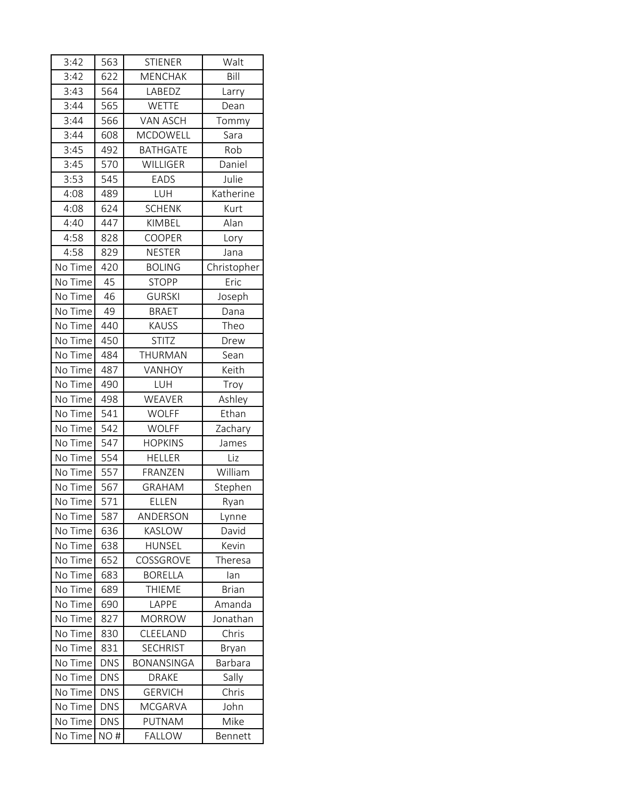| 3:42    | 563        | <b>STIENER</b>    | Walt         |
|---------|------------|-------------------|--------------|
| 3:42    | 622        | <b>MENCHAK</b>    | Bill         |
| 3:43    | 564        | LABEDZ            | Larry        |
| 3:44    | 565        | <b>WETTE</b>      | Dean         |
| 3:44    | 566        | <b>VAN ASCH</b>   | Tommy        |
| 3:44    | 608        | <b>MCDOWELL</b>   | Sara         |
| 3:45    | 492        | <b>BATHGATE</b>   | Rob          |
| 3:45    | 570        | WILLIGER          | Daniel       |
| 3:53    | 545        | <b>EADS</b>       | Julie        |
| 4:08    | 489        | LUH               | Katherine    |
| 4:08    | 624        | <b>SCHENK</b>     | Kurt         |
| 4:40    | 447        | KIMBEL            | Alan         |
| 4:58    | 828        | <b>COOPER</b>     | Lory         |
| 4:58    | 829        | <b>NESTER</b>     | Jana         |
| No Time | 420        | <b>BOLING</b>     | Christopher  |
| No Time | 45         | <b>STOPP</b>      | Eric         |
| No Time | 46         | <b>GURSKI</b>     | Joseph       |
| No Time | 49         | <b>BRAET</b>      | Dana         |
| No Time | 440        | <b>KAUSS</b>      | Theo         |
| No Time | 450        | <b>STITZ</b>      | Drew         |
| No Time | 484        | THURMAN           | Sean         |
| No Time | 487        | VANHOY            | Keith        |
| No Time | 490        | LUH               | Troy         |
| No Time | 498        | WEAVER            | Ashley       |
| No Time | 541        | <b>WOLFF</b>      | Ethan        |
| No Time | 542        | <b>WOLFF</b>      | Zachary      |
| No Time | 547        | <b>HOPKINS</b>    | James        |
| No Time | 554        | <b>HELLER</b>     | Liz          |
| No Time | 557        | FRANZEN           | William      |
| No Time | 567        | <b>GRAHAM</b>     | Stephen      |
| No Time | 571        | <b>ELLEN</b>      | Ryan         |
| No Time | 587        | ANDERSON          | Lynne        |
| No Time | 636        | KASLOW            | David        |
| No Time | 638        | <b>HUNSEL</b>     | Kevin        |
| No Time | 652        | COSSGROVE         | Theresa      |
| No Time | 683        | <b>BORELLA</b>    | lan          |
| No Time | 689        | <b>THIEME</b>     | <b>Brian</b> |
| No Time | 690        | LAPPE             | Amanda       |
| No Time | 827        | <b>MORROW</b>     | Jonathan     |
| No Time | 830        | CLEELAND          | Chris        |
| No Time | 831        | <b>SECHRIST</b>   | Bryan        |
| No Time | <b>DNS</b> | <b>BONANSINGA</b> | Barbara      |
| No Time | <b>DNS</b> | <b>DRAKE</b>      | Sally        |
| No Time | <b>DNS</b> | <b>GERVICH</b>    | Chris        |
| No Time | <b>DNS</b> | <b>MCGARVA</b>    | John         |
| No Time | <b>DNS</b> | PUTNAM            | Mike         |
| No Time | NO#        | <b>FALLOW</b>     | Bennett      |